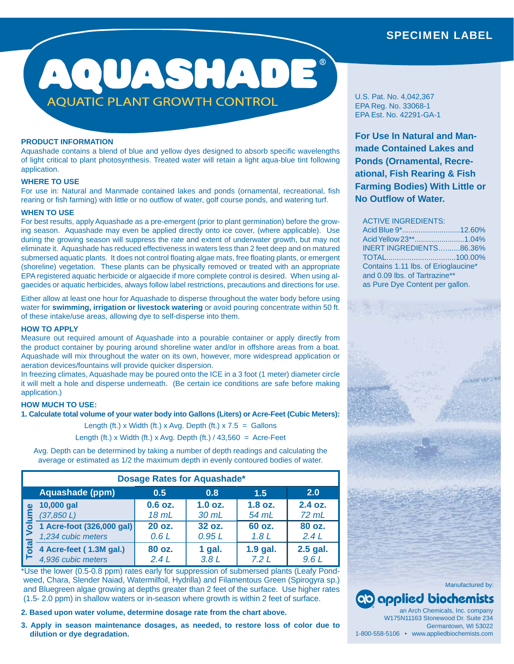# SPECIMEN LABEL

# AQUASHADE **AQUATIC PLANT GROWTH CONTROL**

# **PRODUCT INFORMATION**

Aquashade contains a blend of blue and yellow dyes designed to absorb specific wavelengths of light critical to plant photosynthesis. Treated water will retain a light aqua-blue tint following application.

## **WHERE TO USE**

For use in: Natural and Manmade contained lakes and ponds (ornamental, recreational, fish rearing or fish farming) with little or no outflow of water, golf course ponds, and watering turf.

#### **WHEN TO USE**

For best results, apply Aquashade as a pre-emergent (prior to plant germination) before the growing season. Aquashade may even be applied directly onto ice cover, (where applicable). Use during the growing season will suppress the rate and extent of underwater growth, but may not eliminate it. Aquashade has reduced effectiveness in waters less than 2 feet deep and on matured submersed aquatic plants. It does not control floating algae mats, free floating plants, or emergent (shoreline) vegetation. These plants can be physically removed or treated with an appropriate EPA registered aquatic herbicide or algaecide if more complete control is desired. When using algaecides or aquatic herbicides, always follow label restrictions, precautions and directions for use.

Either allow at least one hour for Aquashade to disperse throughout the water body before using water for **swimming, irrigation or livestock watering** or avoid pouring concentrate within 50 ft. of these intake/use areas, allowing dye to self-disperse into them.

# **HOW TO APPLY**

Measure out required amount of Aquashade into a pourable container or apply directly from the product container by pouring around shoreline water and/or in offshore areas from a boat. Aquashade will mix throughout the water on its own, however, more widespread application or aeration devices/fountains will provide quicker dispersion.

In freezing climates, Aquashade may be poured onto the ICE in a 3 foot (1 meter) diameter circle it will melt a hole and disperse underneath. (Be certain ice conditions are safe before making application.)

# **HOW MUCH TO USE:**

**1. Calculate total volume of your water body into Gallons (Liters) or Acre-Feet (Cubic Meters):**

Length (ft.) x Width (ft.) x Avg. Depth (ft.)  $x 7.5$  = Gallons

Length (ft.) x Width (ft.) x Avg. Depth (ft.)  $/$  43,560 = Acre-Feet

Avg. Depth can be determined by taking a number of depth readings and calculating the average or estimated as 1/2 the maximum depth in evenly contoured bodies of water.

| <b>Dosage Rates for Aquashade*</b> |                                                 |                    |                    |                            |                    |  |
|------------------------------------|-------------------------------------------------|--------------------|--------------------|----------------------------|--------------------|--|
|                                    | Aquashade (ppm)                                 | 0.5                | 0.8                | 1.5                        | 2.0                |  |
| pta                                | 10,000 gal<br>(37, 850 L)                       | $0.6$ oz.<br>18 mL | $1.0$ oz.<br>30 mL | $1.8$ oz.<br>54 mL         | 2.4 oz.<br>$72$ mL |  |
|                                    | 1 Acre-foot (326,000 gal)<br>1,234 cubic meters | 20 oz.<br>0.6L     | 32 oz.<br>0.95L    | 60 oz.<br>1.8 <sub>L</sub> | 80 oz.<br>2.4L     |  |
|                                    | 4 Acre-feet (1.3M gal.)<br>4,936 cubic meters   | 80 oz.<br>2.4L     | $1$ gal.<br>3.8L   | $1.9$ gal.<br>7.2L         | 2.5 gal.<br>9.6L   |  |

\*Use the lower (0.5-0.8 ppm) rates early for suppression of submersed plants (Leafy Pondweed, Chara, Slender Naiad, Watermilfoil, Hydrilla) and Filamentous Green (Spirogyra sp.) and Bluegreen algae growing at depths greater than 2 feet of the surface. Use higher rates (1.5- 2.0 ppm) in shallow waters or in-season where growth is within 2 feet of surface.

**2. Based upon water volume, determine dosage rate from the chart above.**

**3. Apply in season maintenance dosages, as needed, to restore loss of color due to dilution or dye degradation.**

U.S. Pat. No. 4,042,367 EPA Reg. No. 33068-1 EPA Est. No. 42291-GA-1

**For Use In Natural and Manmade Contained Lakes and Ponds (Ornamental, Recreational, Fish Rearing & Fish Farming Bodies) With Little or No Outfl ow of Water.** 

#### ACTIVE INGREDIENTS:

| Acid Blue 9*12.60%                  |  |
|-------------------------------------|--|
| Acid Yellow 23**1.04%               |  |
| INERT INGREDIENTS86.36%             |  |
| TOTAL100.00%                        |  |
| Contains 1.11 lbs. of Erioglaucine* |  |
| and 0.09 lbs. of Tartrazine**       |  |
| as Pure Dye Content per gallon.     |  |
|                                     |  |



an Arch Chemicals, Inc. company W175N11163 Stonewood Dr. Suite 234 W175N11163 Germantown, WI 53022 1-800-558-5106 • www.appliedbiochemists.com